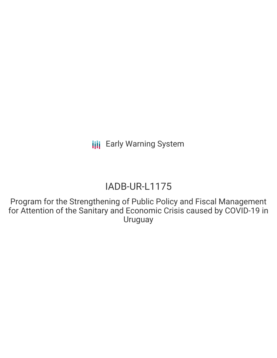# IADB-UR-L1175

Program for the Strengthening of Public Policy and Fiscal Management for Attention of the Sanitary and Economic Crisis caused by COVID-19 in Uruguay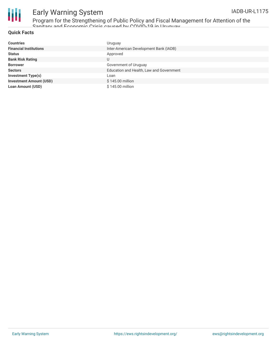

Program for the Strengthening of Public Policy and Fiscal Management for Attention of the Sanitary and Economic Crisis caused by COVID-19 in Uruguay

#### **Quick Facts**

| <b>Countries</b>               | Uruguay                                  |
|--------------------------------|------------------------------------------|
| <b>Financial Institutions</b>  | Inter-American Development Bank (IADB)   |
| <b>Status</b>                  | Approved                                 |
| <b>Bank Risk Rating</b>        | U                                        |
| <b>Borrower</b>                | Government of Uruguay                    |
| <b>Sectors</b>                 | Education and Health, Law and Government |
| <b>Investment Type(s)</b>      | Loan                                     |
| <b>Investment Amount (USD)</b> | \$145.00 million                         |
| <b>Loan Amount (USD)</b>       | \$145.00 million                         |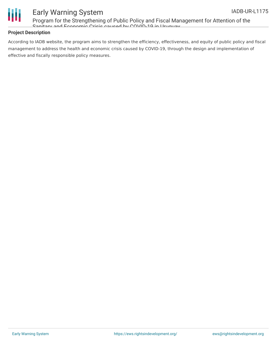

Program for the Strengthening of Public Policy and Fiscal Management for Attention of the Sanitary and Economic Crisis caused by COVID-19 in Uruguay

### **Project Description**

According to IADB website, the program aims to strengthen the efficiency, effectiveness, and equity of public policy and fiscal management to address the health and economic crisis caused by COVID-19, through the design and implementation of effective and fiscally responsible policy measures.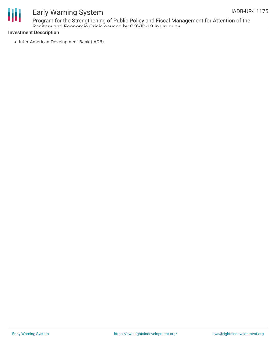

Program for the Strengthening of Public Policy and Fiscal Management for Attention of the Sanitary and Economic Crisis caused by COVID-19 in Uruguay

#### **Investment Description**

• Inter-American Development Bank (IADB)